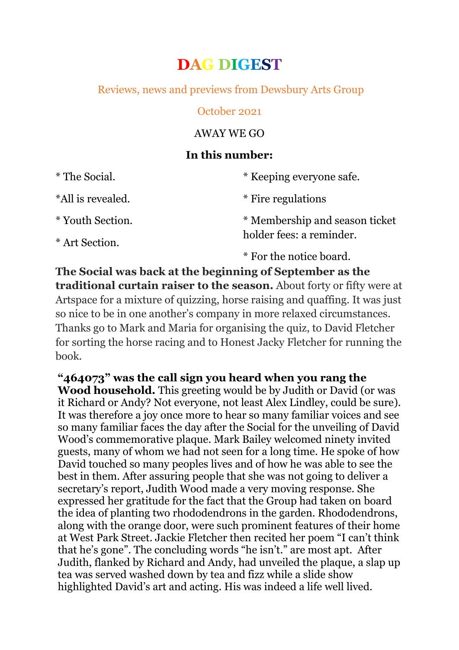# **DAG DIGEST**

## Reviews, news and previews from Dewsbury Arts Group

#### October 2021

#### AWAY WE GO

## **In this number:**

| * The Social.     | * Keeping everyone safe.       |
|-------------------|--------------------------------|
| *All is revealed. | * Fire regulations             |
| * Youth Section.  | * Membership and season ticket |
| * Art Section.    | holder fees: a reminder.       |
|                   | * For the notice board.        |

**The Social was back at the beginning of September as the traditional curtain raiser to the season.** About forty or fifty were at Artspace for a mixture of quizzing, horse raising and quaffing. It was just so nice to be in one another's company in more relaxed circumstances. Thanks go to Mark and Maria for organising the quiz, to David Fletcher for sorting the horse racing and to Honest Jacky Fletcher for running the book.

**"464073" was the call sign you heard when you rang the Wood household.** This greeting would be by Judith or David (or was it Richard or Andy? Not everyone, not least Alex Lindley, could be sure). It was therefore a joy once more to hear so many familiar voices and see so many familiar faces the day after the Social for the unveiling of David Wood's commemorative plaque. Mark Bailey welcomed ninety invited guests, many of whom we had not seen for a long time. He spoke of how David touched so many peoples lives and of how he was able to see the best in them. After assuring people that she was not going to deliver a secretary's report, Judith Wood made a very moving response. She expressed her gratitude for the fact that the Group had taken on board the idea of planting two rhododendrons in the garden. Rhododendrons, along with the orange door, were such prominent features of their home at West Park Street. Jackie Fletcher then recited her poem "I can't think that he's gone". The concluding words "he isn't." are most apt. After Judith, flanked by Richard and Andy, had unveiled the plaque, a slap up tea was served washed down by tea and fizz while a slide show highlighted David's art and acting. His was indeed a life well lived.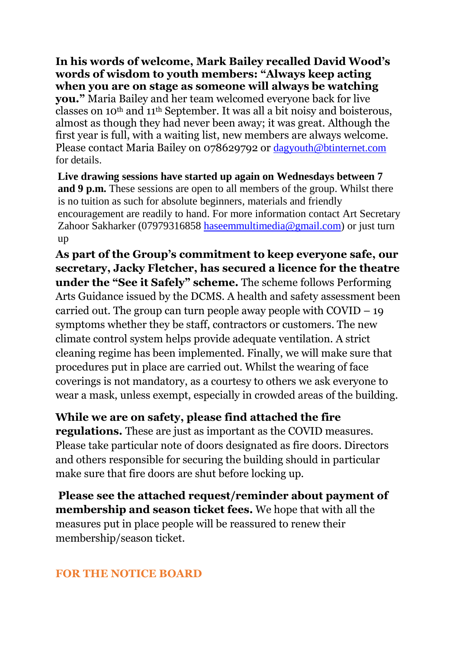**In his words of welcome, Mark Bailey recalled David Wood's words of wisdom to youth members: "Always keep acting when you are on stage as someone will always be watching you."** Maria Bailey and her team welcomed everyone back for live classes on 10th and 11th September. It was all a bit noisy and boisterous, almost as though they had never been away; it was great. Although the first year is full, with a waiting list, new members are always welcome. Please contact Maria Bailey on 078629792 or [dagyouth@btinternet.com](mailto:dagyouth@btinternet.com)

**Live drawing sessions have started up again on Wednesdays between 7 and 9 p.m.** These sessions are open to all members of the group. Whilst there is no tuition as such for absolute beginners, materials and friendly encouragement are readily to hand. For more information contact Art Secretary Zahoor Sakharker (07979316858 [haseemmultimedia@gmail.com\)](mailto:haseemmultimedia@gmail.com) or just turn up

**As part of the Group's commitment to keep everyone safe, our secretary, Jacky Fletcher, has secured a licence for the theatre under the "See it Safely" scheme.** The scheme follows Performing Arts Guidance issued by the DCMS. A health and safety assessment been carried out. The group can turn people away people with  $\text{COVID} - 19$ symptoms whether they be staff, contractors or customers. The new climate control system helps provide adequate ventilation. A strict cleaning regime has been implemented. Finally, we will make sure that procedures put in place are carried out. Whilst the wearing of face coverings is not mandatory, as a courtesy to others we ask everyone to wear a mask, unless exempt, especially in crowded areas of the building.

## **While we are on safety, please find attached the fire**

**regulations.** These are just as important as the COVID measures. Please take particular note of doors designated as fire doors. Directors and others responsible for securing the building should in particular make sure that fire doors are shut before locking up.

**Please see the attached request/reminder about payment of membership and season ticket fees.** We hope that with all the measures put in place people will be reassured to renew their membership/season ticket.

#### **FOR THE NOTICE BOARD**

for details.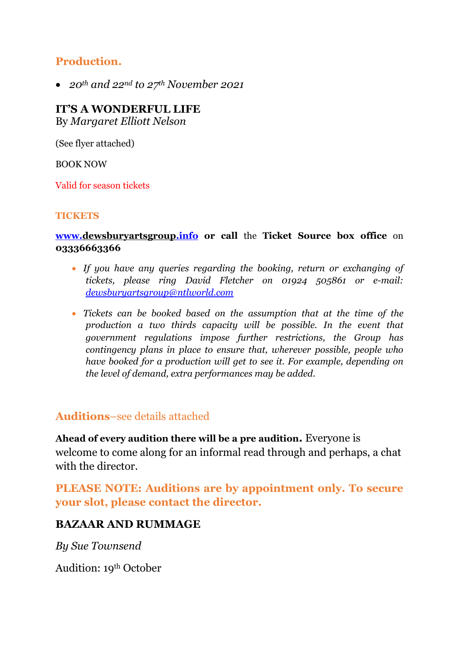# **Production.**

*20th and 22nd to 27th November 2021*

# **IT'S A WONDERFUL LIFE**

By *Margaret Elliott Nelson*

(See flyer attached)

BOOK NOW

Valid for season tickets

#### **TICKETS**

**[www.dewsburyartsgroup.info](http://www.dewsburyartsgroup.info/) or call** the **Ticket Source box office** on **03336663366**

- *If you have any queries regarding the booking, return or exchanging of tickets, please ring David Fletcher on 01924 505861 or e-mail: [dewsburyartsgroup@ntlworld.com](mailto:dewsburyartsgroup@ntlworld.com)*
- *Tickets can be booked based on the assumption that at the time of the production a two thirds capacity will be possible. In the event that government regulations impose further restrictions, the Group has contingency plans in place to ensure that, wherever possible, people who have booked for a production will get to see it. For example, depending on the level of demand, extra performances may be added.*

### **Auditions**–see details attached

**Ahead of every audition there will be a pre audition.** Everyone is welcome to come along for an informal read through and perhaps, a chat with the director.

**PLEASE NOTE: Auditions are by appointment only. To secure your slot, please contact the director.**

### **BAZAAR AND RUMMAGE**

*By Sue Townsend*

Audition: 19th October